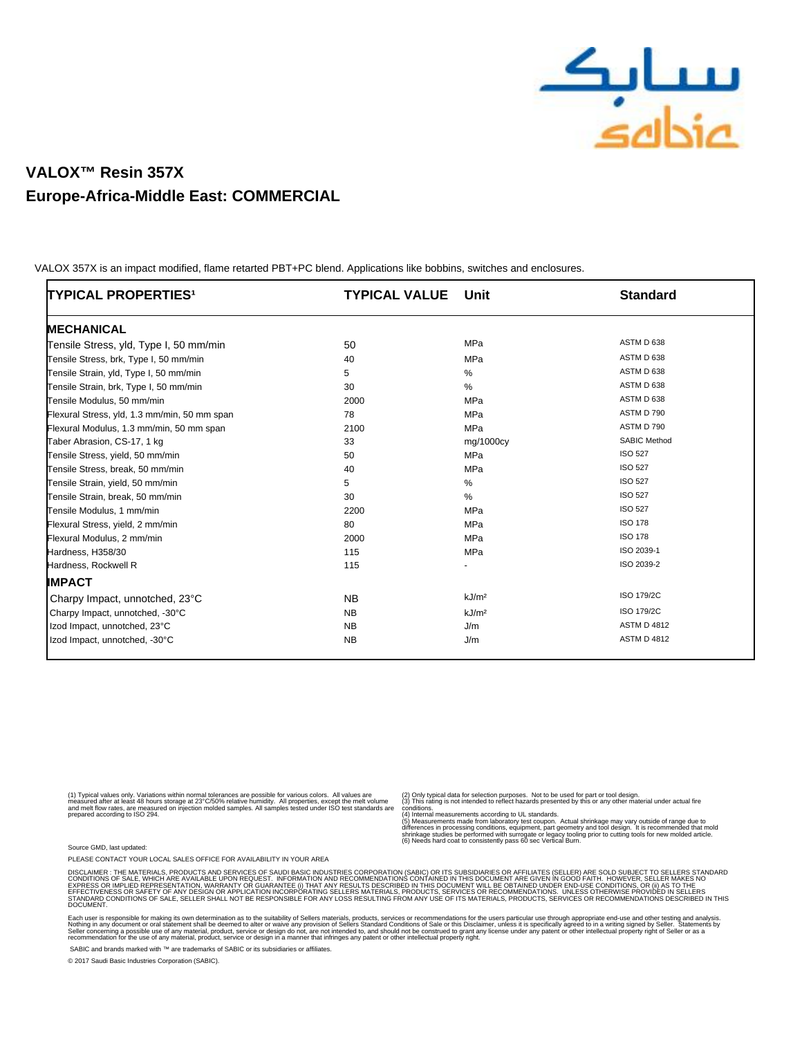

# **VALOX™ Resin 357X Europe-Africa-Middle East: COMMERCIAL**

 VALOX 357X is an impact modified, flame retarted PBT+PC blend. Applications like bobbins, switches and enclosures.

| TYPICAL PROPERTIES <sup>1</sup>              | <b>TYPICAL VALUE</b> | Unit              | <b>Standard</b>     |
|----------------------------------------------|----------------------|-------------------|---------------------|
| <b>MECHANICAL</b>                            |                      |                   |                     |
| Tensile Stress, yld, Type I, 50 mm/min       | 50                   | MPa               | ASTM D 638          |
| Tensile Stress, brk, Type I, 50 mm/min       | 40                   | MPa               | ASTM D 638          |
| Tensile Strain, yld, Type I, 50 mm/min       | 5                    | $\%$              | ASTM D 638          |
| Tensile Strain, brk, Type I, 50 mm/min       | 30                   | %                 | ASTM D 638          |
| Tensile Modulus, 50 mm/min                   | 2000                 | MPa               | ASTM D 638          |
| Flexural Stress, yld, 1.3 mm/min, 50 mm span | 78                   | MPa               | ASTM D 790          |
| Flexural Modulus, 1.3 mm/min, 50 mm span     | 2100                 | <b>MPa</b>        | ASTM D 790          |
| Taber Abrasion, CS-17, 1 kg                  | 33                   | mg/1000cy         | <b>SABIC Method</b> |
| Tensile Stress, yield, 50 mm/min             | 50                   | MPa               | <b>ISO 527</b>      |
| Tensile Stress, break, 50 mm/min             | 40                   | <b>MPa</b>        | <b>ISO 527</b>      |
| Tensile Strain, yield, 50 mm/min             | 5                    | %                 | <b>ISO 527</b>      |
| Tensile Strain, break, 50 mm/min             | 30                   | %                 | <b>ISO 527</b>      |
| Tensile Modulus, 1 mm/min                    | 2200                 | MPa               | <b>ISO 527</b>      |
| Flexural Stress, yield, 2 mm/min             | 80                   | MPa               | <b>ISO 178</b>      |
| Flexural Modulus, 2 mm/min                   | 2000                 | <b>MPa</b>        | <b>ISO 178</b>      |
| Hardness, H358/30                            | 115                  | <b>MPa</b>        | ISO 2039-1          |
| Hardness, Rockwell R                         | 115                  |                   | ISO 2039-2          |
| <b>IMPACT</b>                                |                      |                   |                     |
| Charpy Impact, unnotched, 23°C               | <b>NB</b>            | kJ/m <sup>2</sup> | ISO 179/2C          |
| Charpy Impact, unnotched, -30°C              | <b>NB</b>            | kJ/m <sup>2</sup> | ISO 179/2C          |
| Izod Impact, unnotched, 23°C                 | <b>NB</b>            | J/m               | <b>ASTM D 4812</b>  |
| Izod Impact, unnotched, -30°C                | <b>NB</b>            | J/m               | <b>ASTM D 4812</b>  |

(1) Typical values only. Variations within normal tolerances are possible for various colors. All values are<br>measured after at least 48 hours storage at 23°C/50% relative humidity. All properties, except the melt volume<br>an

(2) Only typical data for selection purposes. Not to be used for part or tool design. (3) This rating is not intended to reflect hazards presented by this or any other material under actual fire

conditions.<br>(4) Internal measurements according to UL standards.<br>(5) Measurements made from laboratory test coupon. Actual shrinkage may vary outside of range due to<br>stifferences in processing conditions, equipment, part g

Source GMD, last updated:

PLEASE CONTACT YOUR LOCAL SALES OFFICE FOR AVAILABILITY IN YOUR AREA

DISCLAMER : THE MATERIALS, PRODUCTS AND SERVICES OF SAUDI BASIC MDUSTRIES CORPORATION (SABIC) OR ITS SUBSIDIARDES OR<br>CONDITIONS OF SALE, WHICH ARE AVAILABLE UPON REQUEST. INFORMATION AND RECOMMENDATIONS CONTAINED IN THIS D **DOCUMENT** 

Each user is responsible for making its own determination as to the suitablity of Seller s materials, products, services or recommendations for the user s particular use through appropriate end-use and other to suppropriat

SABIC and brands marked with ™ are trademarks of SABIC or its subsidiaries or affiliates.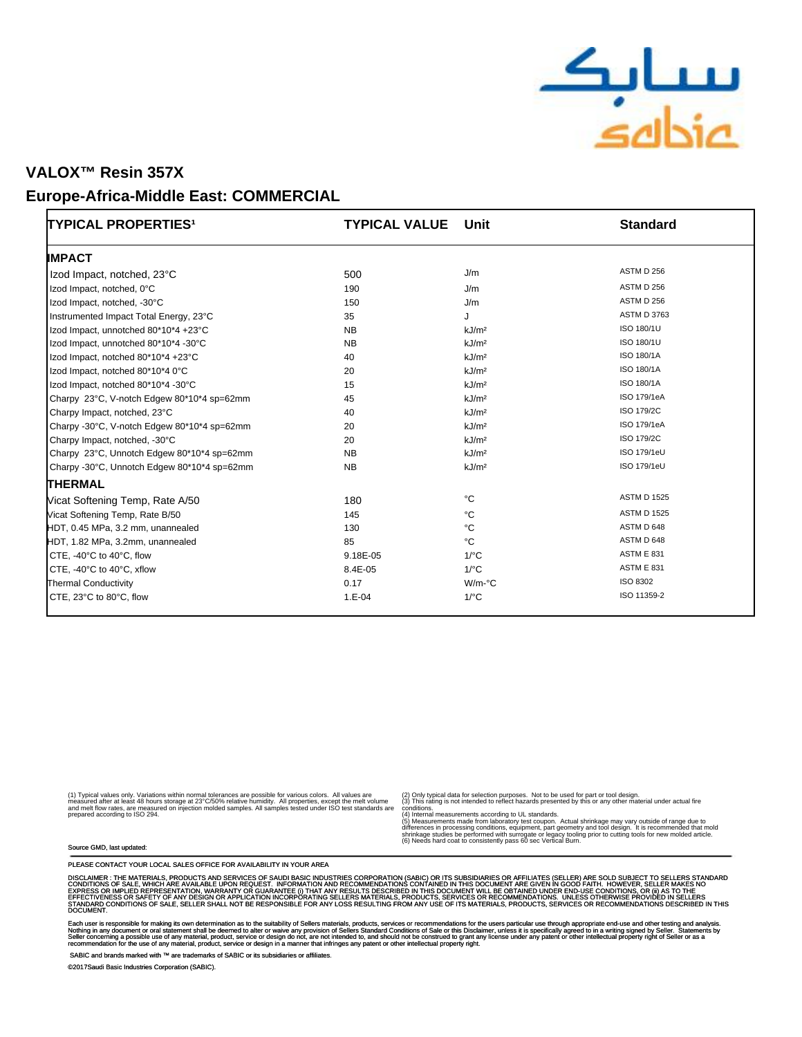

#### **Europe-Africa-Middle East: COMMERCIAL**

| TYPICAL PROPERTIES <sup>1</sup>             | <b>TYPICAL VALUE</b> | Unit                 | <b>Standard</b>    |
|---------------------------------------------|----------------------|----------------------|--------------------|
| <b>IMPACT</b>                               |                      |                      |                    |
| Izod Impact, notched, 23°C                  | 500                  | J/m                  | ASTM D 256         |
| Izod Impact, notched, 0°C                   | 190                  | J/m                  | ASTM D 256         |
| Izod Impact, notched, -30°C                 | 150                  | J/m                  | <b>ASTM D 256</b>  |
| Instrumented Impact Total Energy, 23°C      | 35                   | J                    | <b>ASTM D 3763</b> |
| Izod Impact, unnotched 80*10*4 +23°C        | <b>NB</b>            | kJ/m <sup>2</sup>    | ISO 180/1U         |
| Izod Impact, unnotched 80*10*4 -30°C        | <b>NB</b>            | kJ/m <sup>2</sup>    | ISO 180/1U         |
| Izod Impact, notched 80*10*4 +23°C          | 40                   | kJ/m <sup>2</sup>    | ISO 180/1A         |
| Izod Impact, notched 80*10*4 0°C            | 20                   | kJ/m <sup>2</sup>    | ISO 180/1A         |
| Izod Impact, notched 80*10*4 -30°C          | 15                   | kJ/m <sup>2</sup>    | ISO 180/1A         |
| Charpy 23°C, V-notch Edgew 80*10*4 sp=62mm  | 45                   | kJ/m <sup>2</sup>    | ISO 179/1eA        |
| Charpy Impact, notched, 23°C                | 40                   | kJ/m <sup>2</sup>    | ISO 179/2C         |
| Charpy -30°C, V-notch Edgew 80*10*4 sp=62mm | 20                   | kJ/m <sup>2</sup>    | ISO 179/1eA        |
| Charpy Impact, notched, -30°C               | 20                   | kJ/m <sup>2</sup>    | ISO 179/2C         |
| Charpy 23°C, Unnotch Edgew 80*10*4 sp=62mm  | <b>NB</b>            | kJ/m <sup>2</sup>    | ISO 179/1eU        |
| Charpy -30°C, Unnotch Edgew 80*10*4 sp=62mm | <b>NB</b>            | kJ/m <sup>2</sup>    | ISO 179/1eU        |
| <b>THERMAL</b>                              |                      |                      |                    |
| Vicat Softening Temp, Rate A/50             | 180                  | °C                   | <b>ASTM D 1525</b> |
| Vicat Softening Temp, Rate B/50             | 145                  | °C                   | <b>ASTM D 1525</b> |
| HDT, 0.45 MPa, 3.2 mm, unannealed           | 130                  | °C                   | ASTM D 648         |
| HDT, 1.82 MPa, 3.2mm, unannealed            | 85                   | °C                   | ASTM D 648         |
| CTE, -40°C to 40°C, flow                    | 9.18E-05             | $1$ <sup>o</sup> $C$ | <b>ASTM E 831</b>  |
| CTE, -40°C to 40°C, xflow                   | 8.4E-05              | $1$ /°C              | <b>ASTM E 831</b>  |
| <b>Thermal Conductivity</b>                 | 0.17                 | W/m-°C               | ISO 8302           |
| CTE, 23°C to 80°C, flow                     | $1.E-04$             | $1$ <sup>o</sup> $C$ | ISO 11359-2        |

(1) Typical values only. Variations within normal tolerances are possible for various colors. All values are<br>measured after at least 48 hours storage at 23°C/50% relative humidity. All properties, except the melt volume<br>an

(2) Only typical data for selection purposes. Not to be used for part or tool design. (3) This rating is not intended to reflect hazards presented by this or any other material under actual fire

conditions.<br>(4) Internal measurements according to UL standards.<br>(5) Measurements made from laboratory test coupon. Actual shrinkage may vary outside of range due to<br>stifferences in processing conditions, equipment, part g

#### Source GMD, last updated:

PLEASE CONTACT YOUR LOCAL SALES OFFICE FOR AVAILABILITY IN YOUR AREA

DISCLAMER : THE MATERIALS, PRODUCTS AND SERVICES OF SAUDI BASIC MDUSTRIES CORPORATION (SABIC) OR ITS SUASIDIARD<br>CONDITIONS OF SALE, WHICH ARE AVAILABLE UPON REQUEST. INFORMATION AND RECOMMENDATIONS CONTAINED IN ITS INSURSE DOCUMENT.

Each user is responsible for making its own determination as to the suitablity of Seller s materials, products, services or recommendations for the user s particular use through appropriate end-use.<br>Nothing in any document

SABIC and brands marked with ™ are trademarks of SABIC or its subsidiaries or affiliates.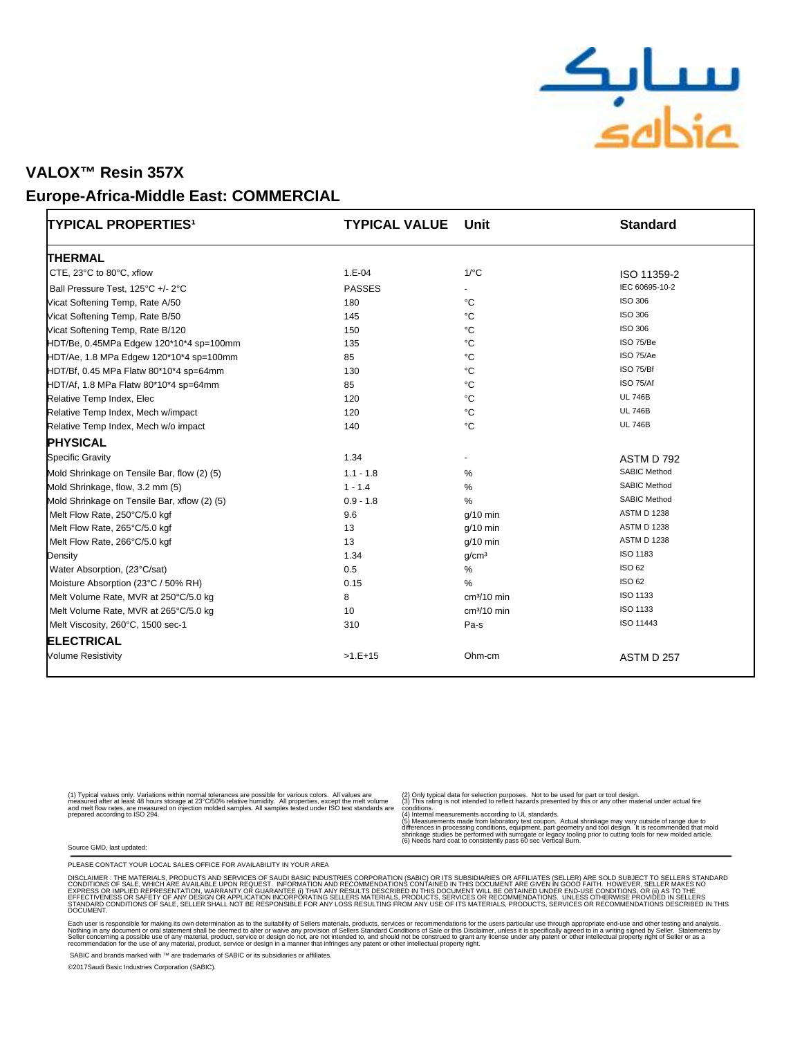

### Europe-Africa-Middle East: COMMERCIAL

| TYPICAL PROPERTIES <sup>1</sup>              | <b>TYPICAL VALUE</b> | Unit                 | <b>Standard</b>     |
|----------------------------------------------|----------------------|----------------------|---------------------|
| <b>THERMAL</b>                               |                      |                      |                     |
| CTE, 23°C to 80°C, xflow                     | $1.E-04$             | $1$ <sup>o</sup> $C$ | ISO 11359-2         |
| Ball Pressure Test, 125°C +/- 2°C            | <b>PASSES</b>        |                      | IEC 60695-10-2      |
| Vicat Softening Temp, Rate A/50              | 180                  | °C                   | <b>ISO 306</b>      |
| Vicat Softening Temp, Rate B/50              | 145                  | °C                   | <b>ISO 306</b>      |
| Vicat Softening Temp, Rate B/120             | 150                  | $^{\circ}$ C         | <b>ISO 306</b>      |
| HDT/Be, 0.45MPa Edgew 120*10*4 sp=100mm      | 135                  | $^{\circ}C$          | ISO 75/Be           |
| HDT/Ae, 1.8 MPa Edgew 120*10*4 sp=100mm      | 85                   | $^{\circ}$ C         | ISO 75/Ae           |
| HDT/Bf, 0.45 MPa Flatw 80*10*4 sp=64mm       | 130                  | °C                   | ISO 75/Bf           |
| HDT/Af, 1.8 MPa Flatw 80*10*4 sp=64mm        | 85                   | °C                   | <b>ISO 75/Af</b>    |
| Relative Temp Index, Elec                    | 120                  | $^{\circ}$ C         | <b>UL 746B</b>      |
| Relative Temp Index, Mech w/impact           | 120                  | $^{\circ}$ C         | <b>UL 746B</b>      |
| Relative Temp Index, Mech w/o impact         | 140                  | °C                   | <b>UL 746B</b>      |
| <b>PHYSICAL</b>                              |                      |                      |                     |
| <b>Specific Gravity</b>                      | 1.34                 |                      | ASTM D 792          |
| Mold Shrinkage on Tensile Bar, flow (2) (5)  | $1.1 - 1.8$          | %                    | <b>SABIC Method</b> |
| Mold Shrinkage, flow, 3.2 mm (5)             | $1 - 1.4$            | %                    | <b>SABIC Method</b> |
| Mold Shrinkage on Tensile Bar, xflow (2) (5) | $0.9 - 1.8$          | $\%$                 | <b>SABIC Method</b> |
| Melt Flow Rate, 250°C/5.0 kgf                | 9.6                  | $q/10$ min           | <b>ASTM D 1238</b>  |
| Melt Flow Rate, 265°C/5.0 kgf                | 13                   | $q/10$ min           | <b>ASTM D 1238</b>  |
| Melt Flow Rate, 266°C/5.0 kgf                | 13                   | $g/10$ min           | <b>ASTM D 1238</b>  |
| Density                                      | 1.34                 | g/cm <sup>3</sup>    | ISO 1183            |
| Water Absorption, (23°C/sat)                 | 0.5                  | $\%$                 | <b>ISO 62</b>       |
| Moisture Absorption (23°C / 50% RH)          | 0.15                 | $\%$                 | ISO 62              |
| Melt Volume Rate, MVR at 250°C/5.0 kg        | 8                    | $cm3/10$ min         | ISO 1133            |
| Melt Volume Rate, MVR at 265°C/5.0 kg        | 10                   | $cm3/10$ min         | ISO 1133            |
| Melt Viscosity, 260°C, 1500 sec-1            | 310                  | Pa-s                 | ISO 11443           |
| <b>ELECTRICAL</b>                            |                      |                      |                     |
| <b>Volume Resistivity</b>                    | $>1.E+15$            | Ohm-cm               | ASTM D 257          |

(1) Typical values only. Variations within normal tolerances are possible for various colors. All values are<br>measured after at least 48 hours storage at 23°C/50% relative humidity. All properties, except the melt volume<br>an

(2) Only typical data for selection purposes. Not to be used for part or tool design. (3) This rating is not intended to reflect hazards presented by this or any other material under actual fire

conditions.<br>(4) Internal measurements according to UL standards.<br>(5) Measurements made from laboratory test coupon. Actual shrinkage may vary outside of range due to<br>stifferences in processing conditions, equipment, part g

Source GMD, last updated:

PLEASE CONTACT YOUR LOCAL SALES OFFICE FOR AVAILABILITY IN YOUR AREA

DISCLAIMER : THE MATERIALS, PRODUCTS AND SERVICES OF SAUDI BASIC INDUSTRIES CORPORATION (SABIC) OR ITS SUBSIDIARDET IN GOOD TO ENCLONGER IN GOOD FAIT. IS SUIT AND TO SUIT AND TO SUIT AN<br>CONDITIONS OF SALE, WHICH ARE AVAILA DOCUMENT.

Each user is responsible for making its own determination as to the suitablity of Seller s materials, products, services or recommendations for the user s particular use through appropriate end-use. And the seculion in a w

SABIC and brands marked with ™ are trademarks of SABIC or its subsidiaries or affiliates.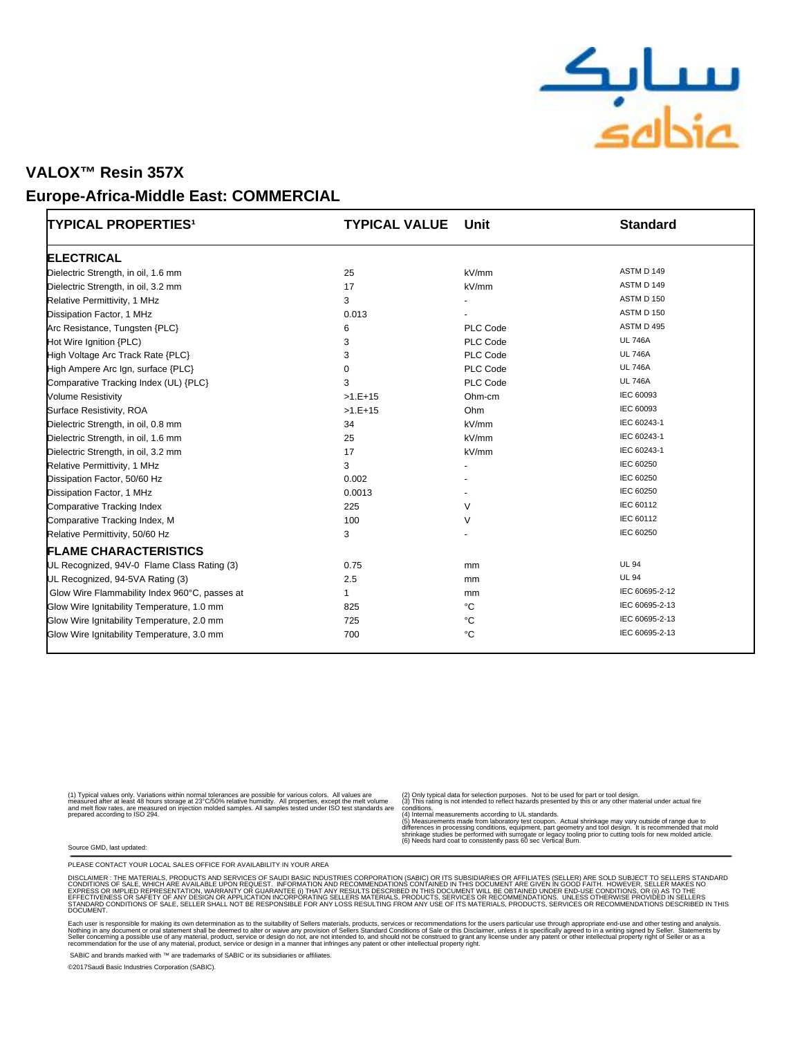

#### **Europe-Africa-Middle East: COMMERCIAL**

| <b>TYPICAL PROPERTIES<sup>1</sup></b>         | <b>TYPICAL VALUE</b> | Unit     | <b>Standard</b> |
|-----------------------------------------------|----------------------|----------|-----------------|
| <b>ELECTRICAL</b>                             |                      |          |                 |
| Dielectric Strength, in oil, 1.6 mm           | 25                   | kV/mm    | ASTM D 149      |
| Dielectric Strength, in oil, 3.2 mm           | 17                   | kV/mm    | ASTM D 149      |
| Relative Permittivity, 1 MHz                  | 3                    |          | ASTM D 150      |
| Dissipation Factor, 1 MHz                     | 0.013                |          | ASTM D 150      |
| Arc Resistance, Tungsten {PLC}                | 6                    | PLC Code | ASTM D 495      |
| Hot Wire Ignition {PLC)                       | 3                    | PLC Code | <b>UL 746A</b>  |
| High Voltage Arc Track Rate {PLC}             | 3                    | PLC Code | <b>UL 746A</b>  |
| High Ampere Arc Ign, surface {PLC}            | $\Omega$             | PLC Code | <b>UL 746A</b>  |
| Comparative Tracking Index (UL) {PLC}         | 3                    | PLC Code | <b>UL 746A</b>  |
| <b>Volume Resistivity</b>                     | $>1.E+15$            | Ohm-cm   | IEC 60093       |
| Surface Resistivity, ROA                      | $>1.E+15$            | Ohm      | IEC 60093       |
| Dielectric Strength, in oil, 0.8 mm           | 34                   | kV/mm    | IEC 60243-1     |
| Dielectric Strength, in oil, 1.6 mm           | 25                   | kV/mm    | IEC 60243-1     |
| Dielectric Strength, in oil, 3.2 mm           | 17                   | kV/mm    | IEC 60243-1     |
| Relative Permittivity, 1 MHz                  | 3                    |          | IEC 60250       |
| Dissipation Factor, 50/60 Hz                  | 0.002                |          | IEC 60250       |
| Dissipation Factor, 1 MHz                     | 0.0013               |          | IEC 60250       |
| <b>Comparative Tracking Index</b>             | 225                  | $\vee$   | IEC 60112       |
| Comparative Tracking Index, M                 | 100                  | V        | IEC 60112       |
| Relative Permittivity, 50/60 Hz               | 3                    |          | IEC 60250       |
| <b>FLAME CHARACTERISTICS</b>                  |                      |          |                 |
| UL Recognized, 94V-0 Flame Class Rating (3)   | 0.75                 | mm       | <b>UL 94</b>    |
| UL Recognized, 94-5VA Rating (3)              | 2.5                  | mm       | <b>UL 94</b>    |
| Glow Wire Flammability Index 960°C, passes at | 1                    | mm       | IEC 60695-2-12  |
| Glow Wire Ignitability Temperature, 1.0 mm    | 825                  | °C       | IEC 60695-2-13  |
| Glow Wire Ignitability Temperature, 2.0 mm    | 725                  | °C       | IEC 60695-2-13  |
| Glow Wire Ignitability Temperature, 3.0 mm    | 700                  | °C       | IEC 60695-2-13  |

(1) Typical values only. Variations within normal tolerances are possible for various colors. All values are<br>measured after at least 48 hours storage at 23°C/50% relative humidity. All properties, except the melt volume<br>an

(2) Only typical data for selection purposes. Not to be used for part or tool design. (3) This rating is not intended to reflect hazards presented by this or any other material under actual fire

conditions.<br>(4) Internal measurements according to UL standards.<br>(5) Measurements made from laboratory test coupon. Actual shrinkage may vary outside of range due to<br>stifferences in processing conditions, equipment, part g

Source GMD, last updated:

PLEASE CONTACT YOUR LOCAL SALES OFFICE FOR AVAILABILITY IN YOUR AREA

DISCLAIMER : THE MATERIALS, PRODUCTS AND SERVICES OF SAUDI BASIC INDUSTRIES CORPORATION (SABIC) OR ITS SUBSIDIARDET IN GOOD TO ENCLONGER IN GOOD FAIT. IS SUIT AND TO SUIT AND TO SUIT AN<br>CONDITIONS OF SALE, WHICH ARE AVAILA DOCUMENT.

Each user is responsible for making its own determination as to the suitablity of Seller s materials, products, services or recommendations for the user s particular use through appropriate end-use. And the seculion in a w

SABIC and brands marked with ™ are trademarks of SABIC or its subsidiaries or affiliates.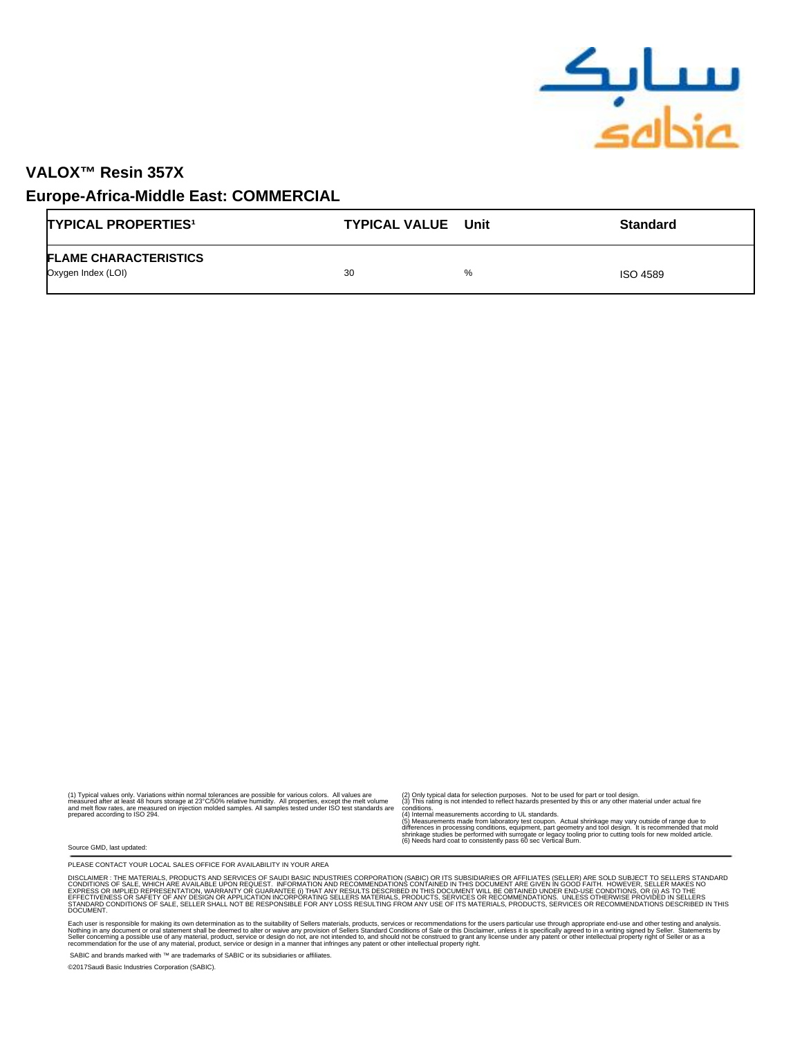

### **Europe-Africa-Middle East: COMMERCIAL**

| <b>TYPICAL PROPERTIES<sup>1</sup></b>              | <b>TYPICAL VALUE</b> Unit | <b>Standard</b>      |
|----------------------------------------------------|---------------------------|----------------------|
| <b>FLAME CHARACTERISTICS</b><br>Oxygen Index (LOI) | 30                        | %<br><b>ISO 4589</b> |

(1) Typical values only. Variations within normal tolerances are possible for various colors. All values are<br>measured after at least 48 hours storage at 23°C/50% relative humidity. All properties, except the melt volume<br>an

(2) Only typical data for selection purposes. Not to be used for part or tool design. (3) This rating is not intended to reflect hazards presented by this or any other material under actual fire

conditions.<br>(4) Internal measurements according to UL standards.<br>(5) Measurements made from laboratory test coupon. Actual shrinkage may vary outside of range due to<br>stifferences in processing conditions, equipment, part g

Source GMD, last updated:

PLEASE CONTACT YOUR LOCAL SALES OFFICE FOR AVAILABILITY IN YOUR AREA

DISCLAIMER : THE MATERIALS, PRODUCTS AND SERVICES OF SAUDI BASIC INDUSTRIES CORPORATION (SABIC) OR ITS SUBSIDIARDET IN GOOD TO ENCLONGER IN GOOD FAIT. IS SUIT AND TO SUIT AND TO SUIT AN<br>CONDITIONS OF SALE, WHICH ARE AVAILA DOCUMENT.

Each user is responsible for making its own determination as to the suitablity of Seller s materials, products, services or recommendations for the user s particular use through appropriate end-use. And the seculion in a w

SABIC and brands marked with ™ are trademarks of SABIC or its subsidiaries or affiliates.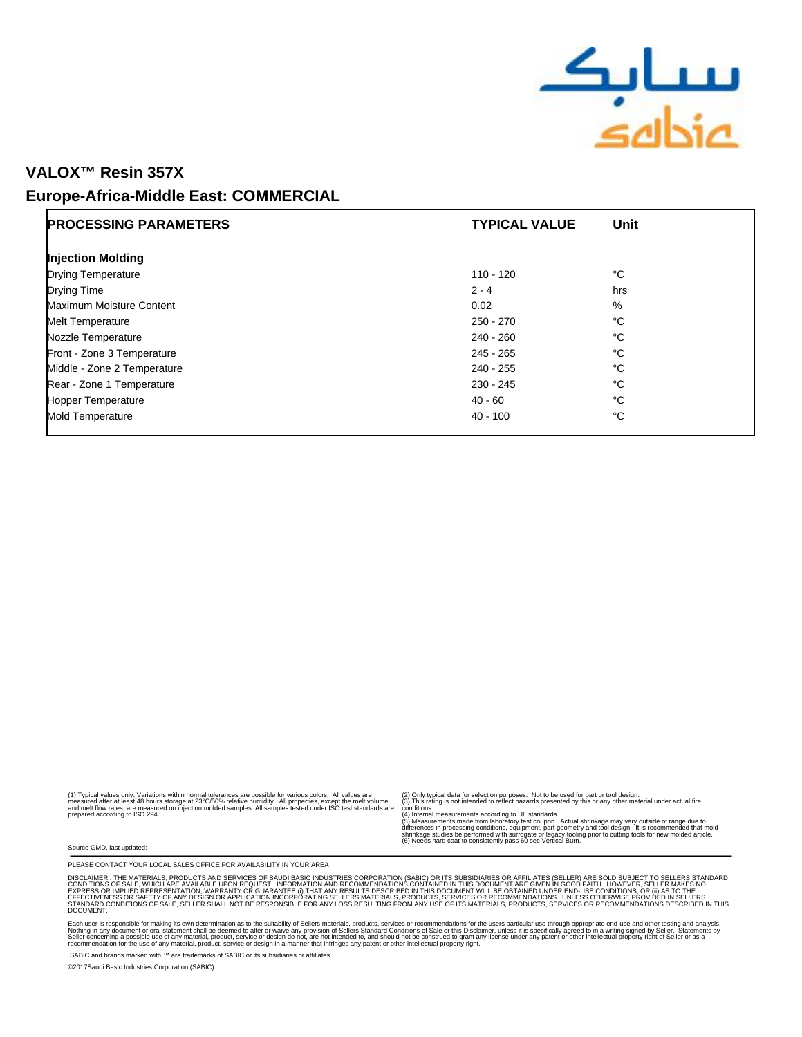

#### **Europe-Africa-Middle East: COMMERCIAL**

| <b>PROCESSING PARAMETERS</b> | <b>TYPICAL VALUE</b> | Unit |  |
|------------------------------|----------------------|------|--|
| <b>Injection Molding</b>     |                      |      |  |
| <b>Drying Temperature</b>    | 110 - 120            | °C   |  |
| Drying Time                  | $2 - 4$              | hrs  |  |
| Maximum Moisture Content     | 0.02                 | %    |  |
| <b>Melt Temperature</b>      | 250 - 270            | °C   |  |
| Nozzle Temperature           | 240 - 260            | °C   |  |
| Front - Zone 3 Temperature   | $245 - 265$          | °C   |  |
| Middle - Zone 2 Temperature  | 240 - 255            | °C   |  |
| Rear - Zone 1 Temperature    | 230 - 245            | °C   |  |
| <b>Hopper Temperature</b>    | $40 - 60$            | °C   |  |
| Mold Temperature             | $40 - 100$           | °C   |  |

(1) Typical values only. Variations within normal tolerances are possible for various colors. All values are<br>measured after at least 48 hours storage at 23°C/50% relative humidity. All properties, except the melt volume<br>an

(2) Only typical data for selection purposes. Not to be used for part or tool design. (3) This rating is not intended to reflect hazards presented by this or any other material under actual fire

conditions.<br>(4) Internal measurements according to UL standards.<br>(5) Measurements made from laboratory test coupon. Actual shrinkage may vary outside of range due to<br>stifferences in processing conditions, equipment, part g

Source GMD, last updated:

PLEASE CONTACT YOUR LOCAL SALES OFFICE FOR AVAILABILITY IN YOUR AREA

DISCLAIMER : THE MATERIALS, PRODUCTS AND SERVICES OF SAUDI BASIC INDUSTRIES CORPORATION (SABIC) OR ITS SUBSIDIARDET IN GOOD TO ENCLONGER IN GOOD FAIT. IS SUIT AND TO SUIT AND TO SUIT AN<br>CONDITIONS OF SALE, WHICH ARE AVAILA DOCUMENT.

Each user is responsible for making its own determination as to the suitablity of Seller s materials, products, services or recommendations for the user s particular use through appropriate end-use. And the seculion in a w

SABIC and brands marked with ™ are trademarks of SABIC or its subsidiaries or affiliates.